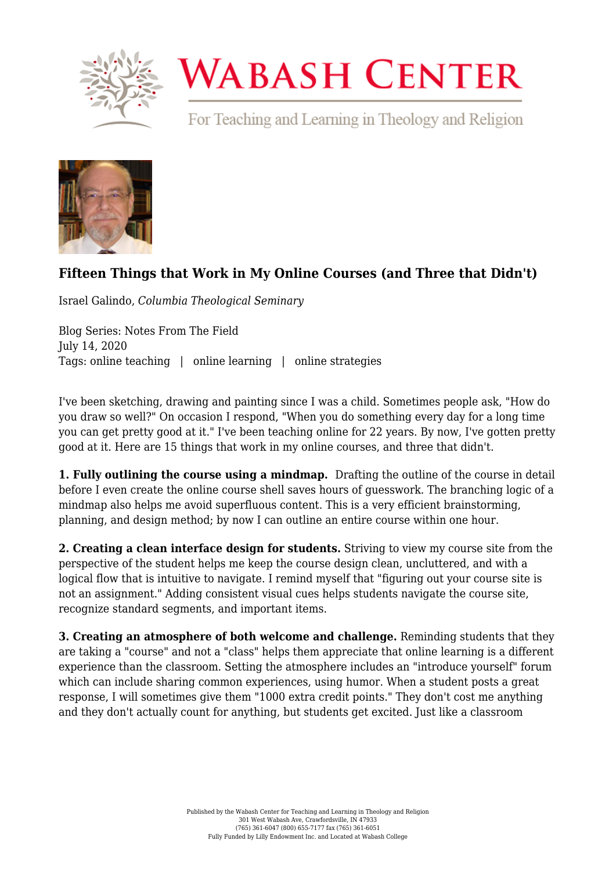

## **WABASH CENTER**

For Teaching and Learning in Theology and Religion



## **[Fifteen Things that Work in My Online Courses \(and Three that Didn't\)](https://www.wabashcenter.wabash.edu/2020/07/fifteen-things-that-work-in-my-online-courses-and-three-that-didnt/)**

Israel Galindo, *Columbia Theological Seminary*

Blog Series: Notes From The Field July 14, 2020 Tags: online teaching | online learning | online strategies

I've been sketching, drawing and painting since I was a child. Sometimes people ask, "How do you draw so well?" On occasion I respond, "When you do something every day for a long time you can get pretty good at it." I've been teaching online for 22 years. By now, I've gotten pretty good at it. Here are 15 things that work in my online courses, and three that didn't.

**1. [Fully outlining the course using a mindmap.](https://litemind.com/what-is-mind-mapping/)** Drafting the outline of the course in detail before I even create the online course shell saves hours of guesswork. The branching logic of a mindmap also helps me avoid superfluous content. This is a very efficient brainstorming, planning, and design method; by now I can outline an entire course within one hour.

**2. Creating a clean interface design for students.** Striving to view my course site from the perspective of the student helps me keep the course design clean, uncluttered, and with a logical flow that is intuitive to navigate. I remind myself that "figuring out your course site is not an assignment." Adding consistent visual cues helps students navigate the course site, recognize standard segments, and important items.

**3. Creating an atmosphere of both welcome and challenge.** Reminding students that they are taking a "course" and not a "class" helps them appreciate that online learning is a different experience than the classroom. Setting the atmosphere includes an "introduce yourself" forum which can include sharing common experiences, using humor. When a student posts a great response, I will sometimes give them "1000 extra credit points." They don't cost me anything and they don't actually count for anything, but students get excited. Just like a classroom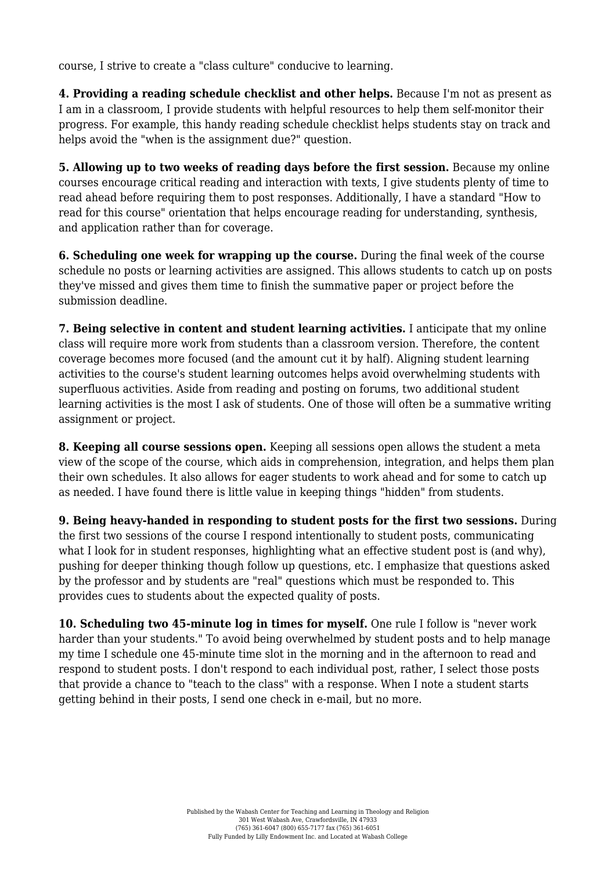course, I strive to create a "class culture" conducive to learning.

**4. Providing a reading schedule checklist and other helps.** Because I'm not as present as I am in a classroom, I provide students with helpful resources to help them self-monitor their progress. For example, [this handy reading schedule checklist](https://www.wabashcenter.wabash.edu/wp-content/uploads/2020/07/I609-Reading-checklist-2016.pdf) helps students stay on track and helps avoid the "when is the assignment due?" question.

**5. Allowing up to two weeks of reading days before the first session.** Because my online courses encourage critical reading and interaction with texts, I give students plenty of time to read ahead before requiring them to post responses. Additionally, I have a standard "How to read for this course" orientation that helps encourage reading for understanding, synthesis, and application rather than for coverage.

**6. Scheduling one week for wrapping up the course.** During the final week of the course schedule no posts or learning activities are assigned. This allows students to catch up on posts they've missed and gives them time to finish the summative paper or project before the submission deadline.

**7. Being selective in content and student learning activities.** I anticipate that my online class will require more work from students than a classroom version. Therefore, the content coverage becomes more focused (and the amount cut it by half). Aligning student learning activities to the course's student learning outcomes helps avoid overwhelming students with superfluous activities. Aside from reading and posting on forums, two additional student learning activities is the most I ask of students. One of those will often be a summative writing assignment or project.

**8. Keeping all course sessions open.** Keeping all sessions open allows the student a meta view of the scope of the course, which aids in comprehension, integration, and helps them plan their own schedules. It also allows for eager students to work ahead and for some to catch up as needed. I have found there is little value in keeping things "hidden" from students.

**9. Being heavy-handed in responding to student posts for the first two sessions.** During the first two sessions of the course I respond intentionally to student posts, communicating what I look for in student responses, highlighting what an effective student post is (and why). pushing for deeper thinking though follow up questions, etc. I emphasize that questions asked by the professor and by students are "real" questions which must be responded to. This provides cues to students about the expected quality of posts.

**10. Scheduling two 45-minute log in times for myself.** One rule I follow is "never work harder than your students." To avoid being overwhelmed by student posts and to help manage my time I schedule one 45-minute time slot in the morning and in the afternoon to read and respond to student posts. I don't respond to each individual post, rather, I select those posts that provide a chance to "teach to the class" with a response. When I note a student starts getting behind in their posts, I send one check in e-mail, but no more.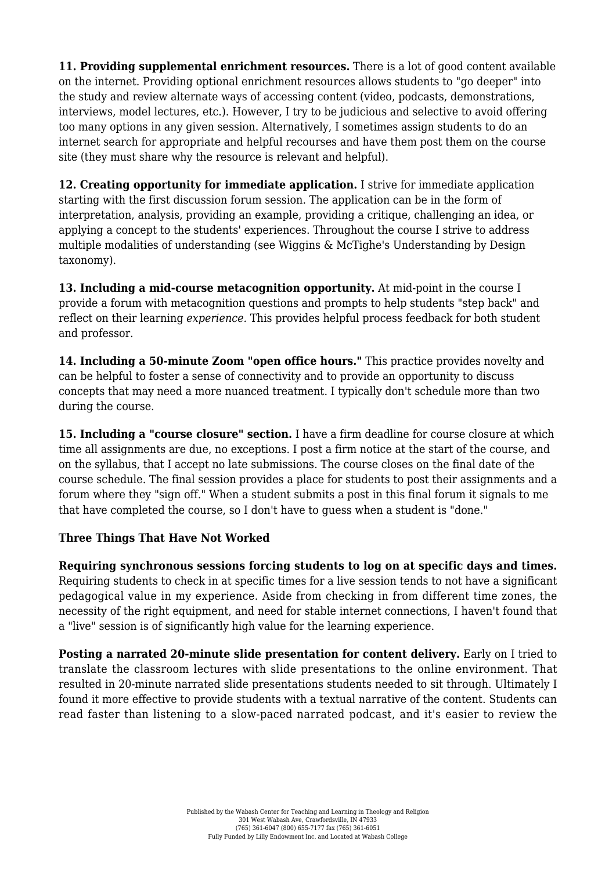**11. Providing supplemental enrichment resources.** There is a lot of good content available on the internet. Providing optional enrichment resources allows students to "go deeper" into the study and review alternate ways of accessing content (video, podcasts, demonstrations, interviews, model lectures, etc.). However, I try to be judicious and selective to avoid offering too many options in any given session. Alternatively, I sometimes assign students to do an internet search for appropriate and helpful recourses and have them post them on the course site (they must share why the resource is relevant and helpful).

**12. Creating opportunity for immediate application.** I strive for immediate application starting with the first discussion forum session. The application can be in the form of interpretation, analysis, providing an example, providing a critique, challenging an idea, or applying a concept to the students' experiences. Throughout the course I strive to address multiple modalities of understanding [\(see Wiggins & McTighe's Understanding by Design](https://educationaltechnology.net/wp-content/uploads/2016/01/backward-design.pdf) [taxonomy](https://educationaltechnology.net/wp-content/uploads/2016/01/backward-design.pdf)).

**13. Including a mid-course metacognition opportunity.** At mid-point in the course I provide a forum with metacognition questions and prompts to help students "step back" and reflect on their learning *experience.* This provides helpful process feedback for both student and professor.

**14. Including a 50-minute Zoom "open office hours."** This practice provides novelty and can be helpful to foster a sense of connectivity and to provide an opportunity to discuss concepts that may need a more nuanced treatment. I typically don't schedule more than two during the course.

**15. Including a "course closure" section.** I have a firm deadline for course closure at which time all assignments are due, no exceptions. I post a firm notice at the start of the course, and on the syllabus, that I accept no late submissions. The course closes on the final date of the course schedule. The final session provides a place for students to post their assignments and a forum where they "sign off." When a student submits a post in this final forum it signals to me that have completed the course, so I don't have to guess when a student is "done."

## **Three Things That Have Not Worked**

**Requiring synchronous sessions forcing students to log on at specific days and times.** Requiring students to check in at specific times for a live session tends to not have a significant pedagogical value in my experience. Aside from checking in from different time zones, the necessity of the right equipment, and need for stable internet connections, I haven't found that a "live" session is of significantly high value for the learning experience.

**Posting a narrated 20-minute slide presentation for content delivery.** Early on I tried to translate the classroom lectures with slide presentations to the online environment. That resulted in 20-minute narrated slide presentations students needed to sit through. Ultimately I found it more effective to provide students with a textual narrative of the content. Students can read faster than listening to a slow-paced narrated podcast, and it's easier to review the